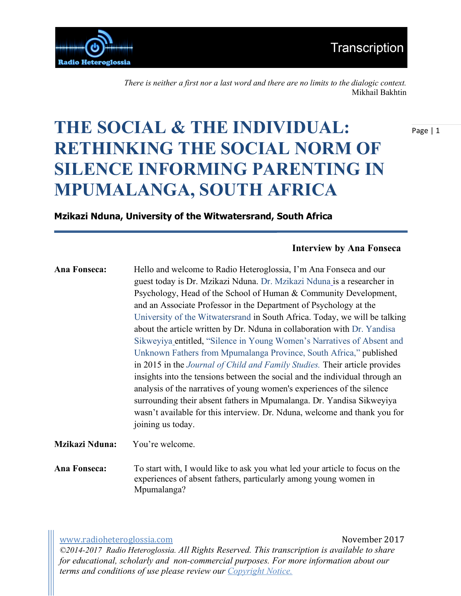

*There is neither a first nor a last word and there are no limits to the dialogic context.*  Mikhail Bakhtin

# **THE SOCIAL & THE INDIVIDUAL: RETHINKING THE SOCIAL NORM OF SILENCE INFORMING PARENTING IN MPUMALANGA, SOUTH AFRICA**

## **Mzikazi Nduna, University of the Witwatersrand, South Africa**

### **Interview by Ana Fonseca**

**Ana Fonseca:** Hello and welcome to Radio Heteroglossia, I'm Ana Fonseca and our guest today is Dr. Mzikazi Nduna. Dr. Mzikazi Nduna is a researcher in Psychology, Head of the School of Human & Community Development, and an Associate Professor in the Department of Psychology at the University of the Witwatersrand in South Africa. Today, we will be talking about the article written by Dr. Nduna in collaboration with Dr. Yandisa Sikweyiya entitled, "Silence in Young Women's Narratives of Absent and Unknown Fathers from Mpumalanga Province, South Africa," published in 2015 in the *Journal of Child and Family Studies.* Their article provides insights into the tensions between the social and the individual through an analysis of the narratives of young women's experiences of the silence surrounding their absent fathers in Mpumalanga. Dr. Yandisa Sikweyiya wasn't available for this interview. Dr. Nduna, welcome and thank you for joining us today.

**Mzikazi Nduna:** You're welcome.

**Ana Fonseca:** To start with, I would like to ask you what led your article to focus on the experiences of absent fathers, particularly among young women in Mpumalanga?

www.radioheteroglossia.com November 2017 *©2014-2017 Radio Heteroglossia. All Rights Reserved. This transcription is available to share for educational, scholarly and non-commercial purposes. For more information about our terms and conditions of use please review our Copyright Notice.*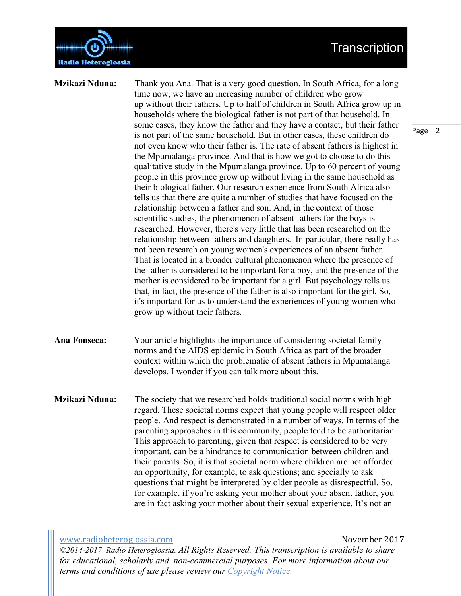Transcription



**Mzikazi Nduna:** Thank you Ana. That is a very good question. In South Africa, for a long time now, we have an increasing number of children who grow up without their fathers. Up to half of children in South Africa grow up in households where the biological father is not part of that household. In some cases, they know the father and they have a contact, but their father is not part of the same household. But in other cases, these children do not even know who their father is. The rate of absent fathers is highest in the Mpumalanga province. And that is how we got to choose to do this qualitative study in the Mpumalanga province. Up to 60 percent of young people in this province grow up without living in the same household as their biological father. Our research experience from South Africa also tells us that there are quite a number of studies that have focused on the relationship between a father and son. And, in the context of those scientific studies, the phenomenon of absent fathers for the boys is researched. However, there's very little that has been researched on the relationship between fathers and daughters. In particular, there really has not been research on young women's experiences of an absent father. That is located in a broader cultural phenomenon where the presence of the father is considered to be important for a boy, and the presence of the mother is considered to be important for a girl. But psychology tells us that, in fact, the presence of the father is also important for the girl. So, it's important for us to understand the experiences of young women who grow up without their fathers.

**Ana Fonseca:** Your article highlights the importance of considering societal family norms and the AIDS epidemic in South Africa as part of the broader context within which the problematic of absent fathers in Mpumalanga develops. I wonder if you can talk more about this.

**Mzikazi Nduna:** The society that we researched holds traditional social norms with high regard. These societal norms expect that young people will respect older people. And respect is demonstrated in a number of ways. In terms of the parenting approaches in this community, people tend to be authoritarian. This approach to parenting, given that respect is considered to be very important, can be a hindrance to communication between children and their parents. So, it is that societal norm where children are not afforded an opportunity, for example, to ask questions; and specially to ask questions that might be interpreted by older people as disrespectful. So, for example, if you're asking your mother about your absent father, you are in fact asking your mother about their sexual experience. It's not an

www.radioheteroglossia.com November 2017 *©2014-2017 Radio Heteroglossia. All Rights Reserved. This transcription is available to share for educational, scholarly and non-commercial purposes. For more information about our terms and conditions of use please review our Copyright Notice.*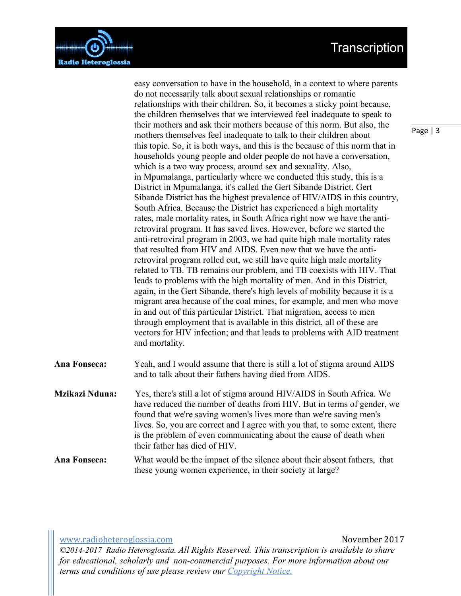## Transcription



easy conversation to have in the household, in a context to where parents do not necessarily talk about sexual relationships or romantic relationships with their children. So, it becomes a sticky point because, the children themselves that we interviewed feel inadequate to speak to their mothers and ask their mothers because of this norm. But also, the mothers themselves feel inadequate to talk to their children about this topic. So, it is both ways, and this is the because of this norm that in households young people and older people do not have a conversation, which is a two way process, around sex and sexuality. Also, in Mpumalanga, particularly where we conducted this study, this is a District in Mpumalanga, it's called the Gert Sibande District. Gert Sibande District has the highest prevalence of HIV/AIDS in this country, South Africa. Because the District has experienced a high mortality rates, male mortality rates, in South Africa right now we have the antiretroviral program. It has saved lives. However, before we started the anti-retroviral program in 2003, we had quite high male mortality rates that resulted from HIV and AIDS. Even now that we have the antiretroviral program rolled out, we still have quite high male mortality related to TB. TB remains our problem, and TB coexists with HIV. That leads to problems with the high mortality of men. And in this District, again, in the Gert Sibande, there's high levels of mobility because it is a migrant area because of the coal mines, for example, and men who move in and out of this particular District. That migration, access to men through employment that is available in this district, all of these are vectors for HIV infection; and that leads to problems with AID treatment and mortality. **Ana Fonseca:** Yeah, and I would assume that there is still a lot of stigma around AIDS

- and to talk about their fathers having died from AIDS.
- **Mzikazi Nduna:** Yes, there's still a lot of stigma around HIV/AIDS in South Africa. We have reduced the number of deaths from HIV. But in terms of gender, we found that we're saving women's lives more than we're saving men's lives. So, you are correct and I agree with you that, to some extent, there is the problem of even communicating about the cause of death when their father has died of HIV.
- **Ana Fonseca:** What would be the impact of the silence about their absent fathers, that these young women experience, in their society at large?

www.radioheteroglossia.com November 2017 *©2014-2017 Radio Heteroglossia. All Rights Reserved. This transcription is available to share for educational, scholarly and non-commercial purposes. For more information about our terms and conditions of use please review our Copyright Notice.*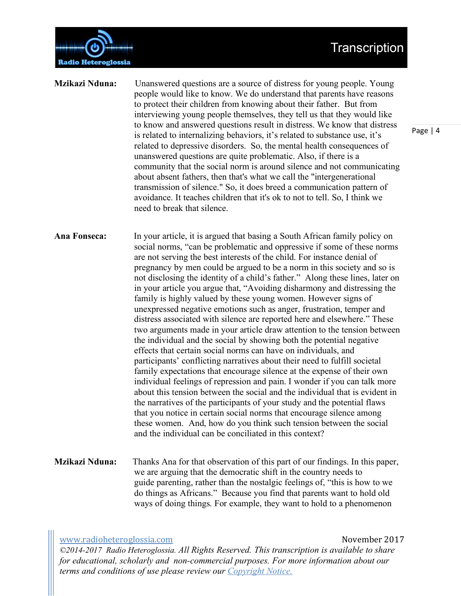

**Mzikazi Nduna:** Unanswered questions are a source of distress for young people. Young people would like to know. We do understand that parents have reasons to protect their children from knowing about their father. But from interviewing young people themselves, they tell us that they would like to know and answered questions result in distress. We know that distress is related to internalizing behaviors, it's related to substance use, it's related to depressive disorders. So, the mental health consequences of unanswered questions are quite problematic. Also, if there is a community that the social norm is around silence and not communicating about absent fathers, then that's what we call the "intergenerational transmission of silence." So, it does breed a communication pattern of avoidance. It teaches children that it's ok to not to tell. So, I think we need to break that silence.

**Ana Fonseca:** In your article, it is argued that basing a South African family policy on social norms, "can be problematic and oppressive if some of these norms are not serving the best interests of the child. For instance denial of pregnancy by men could be argued to be a norm in this society and so is not disclosing the identity of a child's father." Along these lines, later on in your article you argue that, "Avoiding disharmony and distressing the family is highly valued by these young women. However signs of unexpressed negative emotions such as anger, frustration, temper and distress associated with silence are reported here and elsewhere." These two arguments made in your article draw attention to the tension between the individual and the social by showing both the potential negative effects that certain social norms can have on individuals, and participants' conflicting narratives about their need to fulfill societal family expectations that encourage silence at the expense of their own individual feelings of repression and pain. I wonder if you can talk more about this tension between the social and the individual that is evident in the narratives of the participants of your study and the potential flaws that you notice in certain social norms that encourage silence among these women. And, how do you think such tension between the social and the individual can be conciliated in this context?

**Mzikazi Nduna:** Thanks Ana for that observation of this part of our findings. In this paper, we are arguing that the democratic shift in the country needs to guide parenting, rather than the nostalgic feelings of, "this is how to we do things as Africans." Because you find that parents want to hold old ways of doing things. For example, they want to hold to a phenomenon

www.radioheteroglossia.com **andiploted a commode to the control** November 2017 *©2014-2017 Radio Heteroglossia. All Rights Reserved. This transcription is available to share for educational, scholarly and non-commercial purposes. For more information about our terms and conditions of use please review our Copyright Notice.*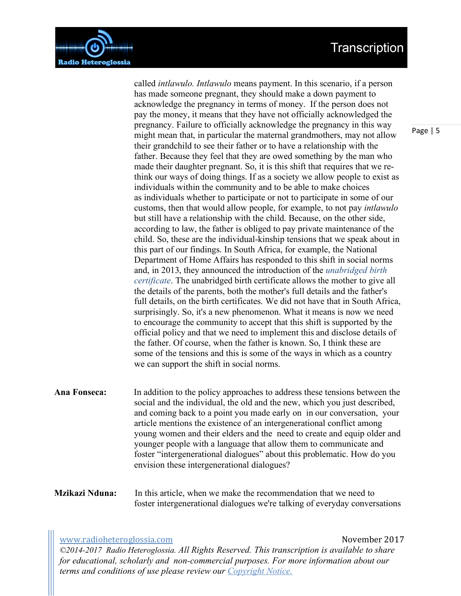## Transcription



called *intlawulo. Intlawulo* means payment. In this scenario, if a person has made someone pregnant, they should make a down payment to acknowledge the pregnancy in terms of money. If the person does not pay the money, it means that they have not officially acknowledged the pregnancy. Failure to officially acknowledge the pregnancy in this way might mean that, in particular the maternal grandmothers, may not allow their grandchild to see their father or to have a relationship with the father. Because they feel that they are owed something by the man who made their daughter pregnant. So, it is this shift that requires that we rethink our ways of doing things. If as a society we allow people to exist as individuals within the community and to be able to make choices as individuals whether to participate or not to participate in some of our customs, then that would allow people, for example, to not pay *intlawulo* but still have a relationship with the child. Because, on the other side, according to law, the father is obliged to pay private maintenance of the child. So, these are the individual-kinship tensions that we speak about in this part of our findings. In South Africa, for example, the National Department of Home Affairs has responded to this shift in social norms and, in 2013, they announced the introduction of the *unabridged birth certificate*. The unabridged birth certificate allows the mother to give all the details of the parents, both the mother's full details and the father's full details, on the birth certificates. We did not have that in South Africa, surprisingly. So, it's a new phenomenon. What it means is now we need to encourage the community to accept that this shift is supported by the official policy and that we need to implement this and disclose details of the father. Of course, when the father is known. So, I think these are some of the tensions and this is some of the ways in which as a country we can support the shift in social norms.

- **Ana Fonseca:** In addition to the policy approaches to address these tensions between the social and the individual, the old and the new, which you just described, and coming back to a point you made early on in our conversation, your article mentions the existence of an intergenerational conflict among young women and their elders and the need to create and equip older and younger people with a language that allow them to communicate and foster "intergenerational dialogues" about this problematic. How do you envision these intergenerational dialogues?
- **Mzikazi Nduna:** In this article, when we make the recommendation that we need to foster intergenerational dialogues we're talking of everyday conversations

### www.radioheteroglossia.com November 2017

*©2014-2017 Radio Heteroglossia. All Rights Reserved. This transcription is available to share for educational, scholarly and non-commercial purposes. For more information about our terms and conditions of use please review our Copyright Notice.*